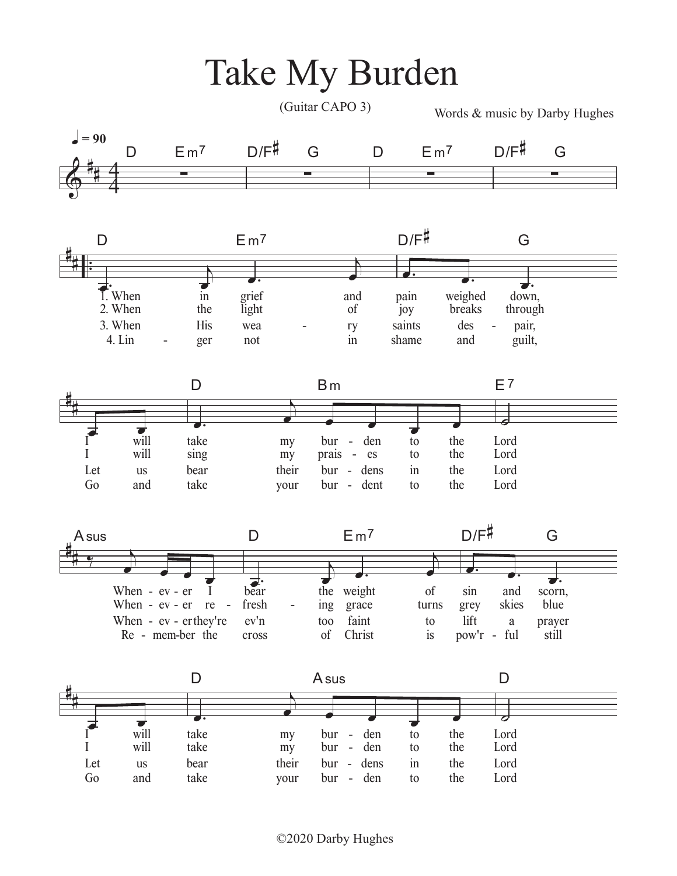

©2020 Darby Hughes